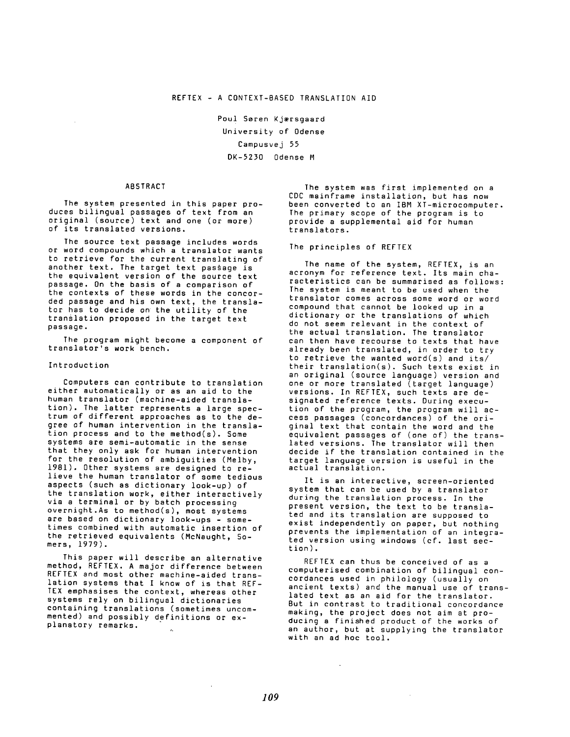Poul Soren Kjersgaard University of Odense Campusvej 55 DK-5230 Odense M

## ABSTRACT

The system presented in this paper produces bilingual passages of text from an original (source) text and one (or more) of its translated versions.

The source text passage includes words or word compounds which a translator wants to retrieve for the current translating of another text. The target text passage is the equivalent version of the source text passage. On the basis of a comparison of the contexts of these words in the concorded passage and his own text, the translator has to decide on the utility of the translation proposed in the target text passage.

The program might become a component of translator's work bench.

#### Introduction

Computers can contribute to translation either automatically or as an aid to the human translator (machine-aided translation). The latter represents a large spectrum of different approaches as to the degree of human intervention in the translation process and to the method(s). Some systems are semi-automatic in the sense that they only ask for human intervention for the resolution of ambiguities (Melby, 1981). Other systems are designed to relieve the human translator of some tedious aspects (such as dictionary look-up) of the translation work, either interactively via a terminal or by batch processing overnight. As to method(s), most systems are based on dictionary look-ups - sometimes combined with automatic insertion of the retrieved equivalents (McNaught, Somers, 1979).

This paper will describe an alternative method, REFTEX. A major difference between REFTEX and most other machine-aided translation systems that I know of is that REF-TEX emphasises the context, whereas other systems rely on bilingual dictionaries containing translations (sometimes uncommented) and possibly definitions or explanatory remarks.  $\mathbf{r}_i$ 

The system was first implemented on a CDC mainframe installation, but has now been converted to an IBM XT-microcomputer. The primary scope of the program is to provide a supplemental aid for human translators.

## The principles of REFTEX

The name of the system, REFTEX, is an acronym for reference text. Its main characteristics can be summarised as follows: The system is meant to be used when the translator comes across some word or word compound that cannot be looked up in a dictionary or the translations of which do not seem relevant in the context of the actual translation. The translator can then have recourse to texts that have already been translated, in order to try to retrieve the wanted word(s) and its/ their translation(s). Such texts exist in an original (source language) version and one or more translated (target language) versions. In REFTEX, such texts are designated reference texts. During execution of the program, the program will access passages (concordances) of the original text that contain the word and the equivalent passages of (one of) the translated versions. The translator will then decide if the translation contained in the target language version is useful in the actual translation.

It is an interactive, screen-oriented system that can be used by a transistor during the transIation process. In the present version, the text to be translated and its translation are supposed to exist independently on paper, but nothing prevents the implementation of an integrated version using windows (cf. last section).

REFTEX can thus be conceived of as a computerised combination of bilingual concordances used in philology (usually on ancient texts) and the manual use of translated text as an aid for the translator. 8ut in contrast to traditional concordance making, the project does not aim at producing a finished product of the works of an author, but at supplying the translator with an ad hoc tool.

 $\sim$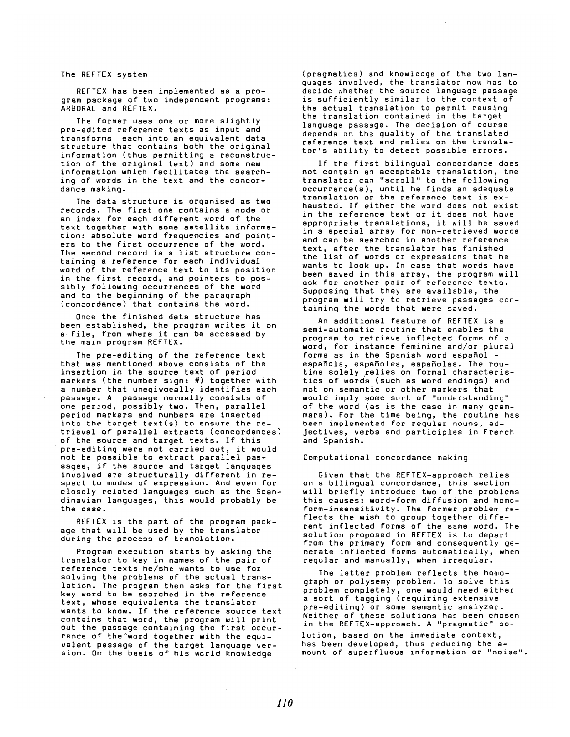#### The REFTEX system

 $\sim 10$ 

REFTEX has been implemented as a program package of two independent programs: ARBORAL and REFTEX.

The former uses one or more slightly pre-edited reference texts as input and transforms each into an equivalent data structure that contains both the original information (thus permitting a reconstruction of the original text) and some new information which Facilitates the searching of words in the text and the concordance making.

The data structure is organised as two records. The first one contains a node or an index for each diFFerent word of the text together with some satellite inFormation: absolute word Frequencies and pointers to the First occurrence of the word. The second record is a list structure containing a reference for each individual word of the reference text to its position in the first record, and pointers to possibly following occurrences of the word and to the beginning of the paragraph (concordance) that contains the word.

Once the finished data structure has been established, the program writes it on a file, from where it can be accessed by the main program REFTEX.

The pre-editing of the reference text that was mentioned above consists of the insertion in the source text of period markers (the number sign: #) together with a number that uneqivocalIy identifies each passage. A passage normally consists of one period, possibly two. Then, parallel period markers and numbers are inserted into the target text(s) to ensure the retrieval of parallel extracts (concordances) of the source and target texts. If this pre-editing were not carried out, it would not be possible to extract parallel passages, if the source and target languages involved are structurally different in respect to modes of expression. And even for closely related languages such as the Scandinavian languages, this would probably be the case.

REFTEX is the part of the program package that will be used by the translator during the process of translation.

Program execution starts by asking the translator to key in names of the pair of reference texts he/she wants to use for solving the problems of the actual translation. The program then asks for the first key word to be searched in the reference text, whose equivalents the translator wants to know. If the reference source text contains that word, the program will print out the passage containing the first occurfence of the'word together with the equivalent passage of the target language version. On the basis of his world knowledge

(pragmatics) and knowledge of the two languages involved, the translator now has to decide whether the source language passage is sufficiently similar to the context of the actual translation to permit reusing the translation contained in the target language passage. The decision of course depends on the quality of the translated reference text and relies on the translator's ability to detect possible errors.

If the first bilingual concordance does not contain an acceptable translation, the translator can "scroll" to the following occurrence(s), until he finds an adequate translation or the reference text is exhausted. If either the word does not exist in the reference text or it does not have appropriate translations, it will be saved in a special array for non-retrieved words and can be searched in another reference text, after the translator has finished the list of words or expressions that he wants to look up. In case that words have been saved in this array, the program will ask for another pair of reference texts. Supposing that they are available, the program will try to retrieve passages containing the words that were saved.

An additional feature of REFTEX is a semi-automatic routine that enables the program to retrieve inflected forms of a word, for instance feminine and/or plural forms as in the Spanish word español española, españoles, españolas. The routine solely relies on formal characteristics of words (such as word endings) and not on semantic or other markers that would imply some sort of "understanding" of the word (as is the case in many grammars). For the time being, the routine has been implemented for regular nouns, adjectives, verbs and participles in French and Spanish.

## Computational concordance making

Given that the REFTEX-approach relies on a bilingual concordance, this section will briefly introduce two of the problems this causes: word-form diffusion and homoform-insensitivity. The former problem reflects the wish to group together different inflected forms of the same word. The solution proposed in REFTEX is to depart from the primary form and consequently generate inflected forms automatically, when regular and manually, when irregular.

The latter problem reflects the homograph or polysemy problem. To solve this problem completely, one would need either a sort of tagging (requiring extensive pre-editing) or some semantic analyzer. Neither of these solutions has been chosen in the REFTEX-approach. A "pragmatic" solution, based on the immediate context, has been developed, thus reducing the amount of superfluous information or "noise".

 $\mathcal{A}$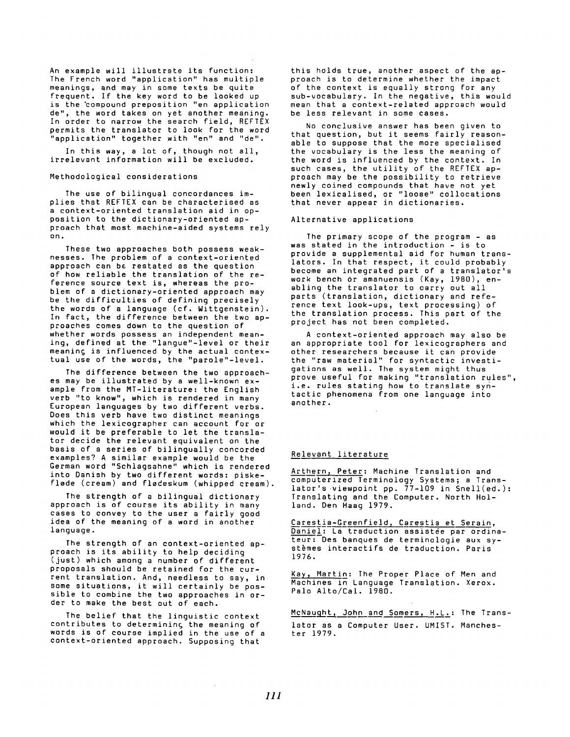An example will illustrate its function: The French word "application" has multiple meanings, and may in some texts be quite frequent. If the key word to be looked up is the "compound preposition "en application de", the word takes on yet another meaning. In order to narrow the search field, REFTEX permits the translator to look for the word "application" together with "en" and "de".

In this way, a lot of, though not all, irrelevant information will be excluded.

#### Methodological considerations

The use of bilingual concordances implies that REFTEX can be characterised as a context-oriented translation aid in opposition to the dictionary-oriented approach that most machine-aided systems rely on.

These two approaches both possess weaknesses. The problem of a context-oriented approach can be restated as the question of how reliable the translation of the re-Ference source text is, whereas the problem of a dictionary-oriented approach may be the difficulties of defining precisely the words of a language (cf. Wittgenstein). In fact, the difference between the two approaches comes down to the question of whether words possess an independent meaning, defined at the "langue"-level or their meaning is influenced by the actual contextual use of the words, the "parole"-level.

The difference between the two approaches may be illustrated by a well-known example from the MT-literature: the English verb "to know", which is rendered in many European languages by two different verbs. Does this verb have two distinct meanings which the lexicographer can account for or would it be preferable to let the translator decide the relevant equivalent on the basis of a series of bilingually concorded examples? A similar example would be the German word "Schlagsahne" which is rendered into Danish by two different words: piskeflede (cream) and fledeskum (whipped cream).

The strength of a bilingual dictionary approach is of course its ability in many cases to convey to the user a fairly good idea of the meaning of a word in another language.

The strength of an context-oriented approach is its ability to help deciding (just) which among a number of different proposals should be retained for the current translation. And, needless to say, in some situations, it will certainly be possible to combine the two approaches in order to make the best out of each.

The belief that the linguistic context contributes to determining the meaning of words is of course implied in the use of a context-oriented approach. Supposing that

this holds true, another aspect of the approach is to determine whether the impact of the context is equally strong for any sub-vocabulary. In the negative, this would mean that a context-related approach would be less relevant in some cases.

No conclusive answer has been given to that question, but it seems fairly reasonable to suppose that the more specialised the vocabulary is the less the meaning of the word is influenced by the context. In such cases, the utility of the REFTEX approach may be the possibility to retrieve newly coined compounds that have not yet been lexicalised, or "loose" collocations that never appear in dictionaries.

## Alternative applications

The primary scope of the program - as was stated in the introduction - is to provide a supplemental aid for human translators. In that respect, it could probably become an integrated part of a translator's work bench or amanuensis (Kay, 1980), enabling the translator to carry out all parts (translation, dictionary and reference text look-ups, text processing) of the translation process. This part of the project has not been completed.

A context-oriented approach may also be an appropriate tool for lexicographers and other researchers because it can provide the "raw material" for syntactic investigations as well. The system might thus prove useful for making "translation rules", i.e. rules stating how to transIate syntactic phenomena from one language into another.

# Relevant literature

Arthern, Peter: Machine Translation and computerized Terminology Systems; a Translator's viewpoint pp. 77-109 in Snell(ed.): Translating and the Computer. North Holland. Den Haag 1979.

Carestia-Greenfield, Carestia et Serain, Daniel: La traduction assistée par ordinateur: Des banques de terminologie aux systèmes interactifs de traduction. Paris 1976.

Kay, Martin: The Proper Place of Men and Machines in Language Translation. Xerox. Palo Alto/Cal. 1980.

McNaught, John and Somers, H.L.: The Translator as a Computer User. UMIST. Manchester *1979.*